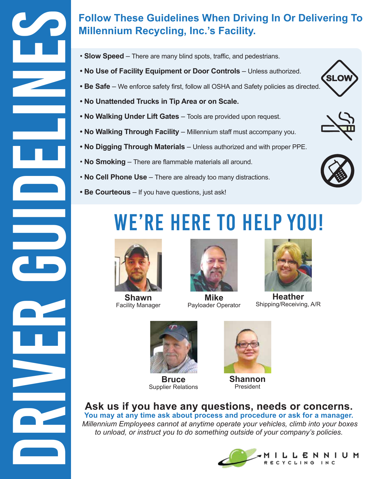

- **Slow Speed**  There are many blind spots, traffic, and pedestrians.
- **No Use of Facility Equipment or Door Controls** Unless authorized.
- Be Safe We enforce safety first, follow all OSHA and Safety policies as directed.
- **No Unattended Trucks in Tip Area or on Scale.**
- **No Walking Under Lift Gates**  Tools are provided upon request.
- **No Walking Through Facility**  Millennium staff must accompany you.
- **No Digging Through Materials**  Unless authorized and with proper PPE.
- **No Smoking** There are flammable materials all around.
- **No Cell Phone Use**  There are already too many distractions.
- **Be Courteous**  If you have questions, just ask!

## WE'RE HERE TO HELP YOU!



**Shawn** Facility Manager



**Mike** Payloader Operator



**Heather** Shipping/Receiving, A/R



**Bruce** Supplier Relations



**Shannon** President

### **Ask us if you have any questions, needs or concerns.**

**You may at any time ask about process and procedure or ask for a manager.** *Millennium Employees cannot at anytime operate your vehicles, climb into your boxes to unload, or instruct you to do something outside of your company's policies.*